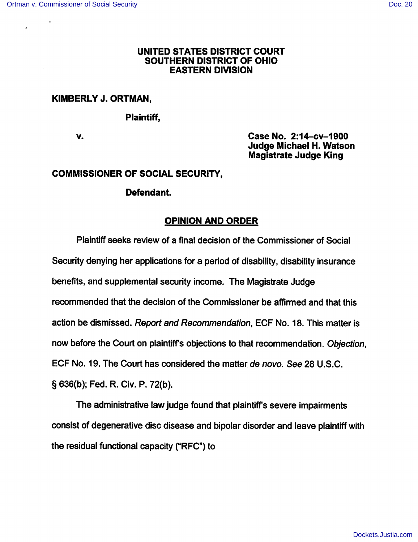#### *UNITED STATES DISTRICT COURT SOUTHERN DISTRICT OF OHIO EASTERN DIVISION*

## *KIMBERLYJ. ORTMAN,*

*Plaintiff,*

*v. Case No. 2:14-cv-1900 Judge Michael H. Watson Magistrate Judge King*

#### *COMMISSIONER OF SOCIAL SECURITY,*

## *Defendant.*

# *OPINION AND ORDER*

Plaintiff seeks review of a final decision of the Commissioner of Social Security denying her applications for a period of disability, disability insurance benefits, and supplemental security income. The Magistrate Judge recommended that the decision of the Commissioner be affirmed and that this action be dismissed. **Report and Recommendation,** ECF No. 18. This matter is now before the Court on plaintiff's objections to that recommendation. **Objection,** ECF No. 19. The Court has considered the matter **de novo. See** 28 U.S.C. § 636(b); Fed. R. Civ. P. 72(b).

The administrative law judge found that plaintiffs severe impairments consist of degenerative disc disease and bipolar disorder and leave plaintiff with the residual functional capacity ("RFC") to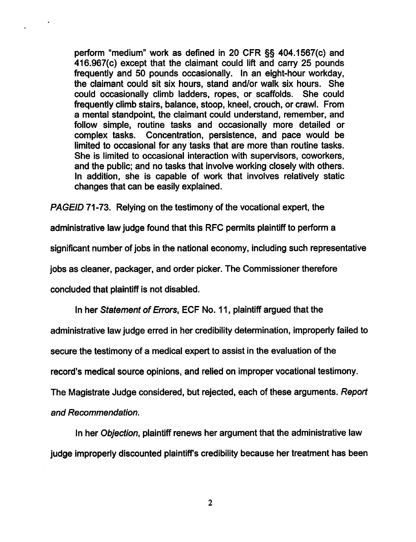*perform "medium" work as defined in 20 CFR §§ 404.1567(c) and 416.967(c) except that the claimant could lift and carry 25 pounds frequently and 50 pounds occasionally. In an eight-hour workday, the claimant could sit six hours, stand and/or walk six hours. She could occasionally climb ladders, ropes, or scaffolds. She could frequently climb stairs, balance, stoop, kneel, crouch, or crawl. From a mental standpoint, the claimant could understand, remember, and follow simple, routine tasks and occasionally more detailed or complex tasks. Concentration, persistence, and pace would be limited to occasional for any tasks that are more than routine tasks. She is limited to occasional interaction with supervisors, coworkers, and the public; and no tasks that involve working closely with others. In addition, she is capable of work that involves relatively static changes that can be easily explained.*

*PAGEID 71-73. Relying on the testimony of the vocational expert, the*

*administrative law judge found that this RFC permits plaintiff to perform a*

*significant number of jobs in the national economy, including such representative*

*jobs as cleaner, packager, and order picker. The Commissioner therefore*

*concluded that plaintiff is not disabled.*

*In her Statement of Errors, ECF No. 11, plaintiff argued that the*

*administrative law judge erred in her credibility determination, improperly failed to*

*secure the testimony of a medical expert to assist in the evaluation of the*

*record's medical source opinions, and relied on improper vocational testimony.*

*The Magistrate Judge considered, but rejected, each of these arguments. Report*

*and Recommendation.*

*In her Objection, plaintiff renews her argument that the administrative law judge improperly discounted plaintiff's credibility because her treatment has been*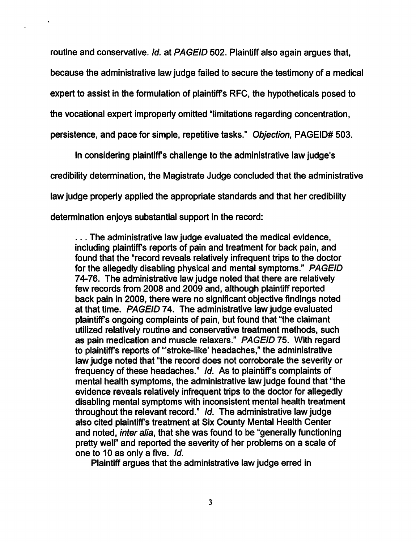*routine and conservative. Id. at PAGEID 502. Plaintiff also again argues that, because the administrative law judge failed to secure the testimony of a medical expert to assist in the formulation of plaintiff's RFC, the hypotheticals posed to*

*the vocational expert improperly omitted "limitations regarding concentration,*

*persistence, and pace for simple, repetitive tasks." Objection, PAGEID# 503.*

*In considering plaintiffs challenge to the administrative law judge's credibility determination, the Magistrate Judge concluded that the administrative law judge properly applied the appropriate standards and that her credibility determination enjoys substantial support in the record:*

*... The administrative law judge evaluated the medical evidence, including plaintiffs reports of pain and treatment for back pain, and found that the "record reveals relatively infrequent trips to the doctor forthe allegedly disabling physical and mental symptoms." PAGEID 74-76. The administrative law judge noted that there are relatively few records from 2008 and 2009 and, although plaintiff reported back pain in 2009, there were no significant objective findings noted at that time. PAGEID 74. The administrative law judge evaluated plaintiffs ongoing complaints of pain, but found that "the claimant utilized relatively routine and conservative treatment methods, such as pain medication and muscle relaxers." PAGEID75. With regard to plaintiffs reports of "'stroke-like' headaches," the administrative law judge noted that "the record does not corroborate the severity or frequency of these headaches." Id. As to plaintiffs complaints of mental health symptoms, the administrative law judge found that "the evidence reveals relatively infrequent trips to the doctor for allegedly disabling mental symptoms with inconsistent mental health treatment throughout the relevant record." Id. The administrative law judge also cited plaintiff's treatment at Six County Mental Health Center and noted, inter alia, that she was found to be "generally functioning pretty well" and reported the severity of her problems on a scale of one to 10 as only a five. Id.*

*Plaintiff argues that the administrative law judge erred in*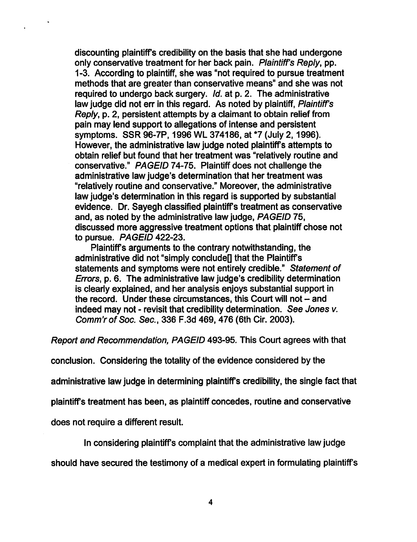*discounting plaintiffs credibility on the basis that she had undergone only conservative treatment for her back pain. Plaintiff's Reply, pp. 1-3. According to plaintiff, she was "not required to pursue treatment methods that are greater than conservative means" and she was not required to undergo back surgery. Id. at p. 2. The administrative law judge did not err in this regard. As noted by plaintiff, Plaintiff's Reply, p. 2, persistent attempts by a claimant to obtain relief from pain may lend support to allegations of intense and persistent symptoms. SSR 96-7P, 1996 WL 374186, at \*7 (July 2,1996). However, the administrative law judge noted plaintiffs attempts to obtain relief but found that her treatment was "relatively routine and conservative." PAGEID 74-75. Plaintiff does not challenge the administrative law judge's determination that her treatment was "relatively routine and conservative." Moreover, the administrative law judge's determination in this regard is supported by substantial evidence. Dr. Sayegh classified plaintiffs treatment as conservative and, as noted by the administrative law judge, PAGEID 75, discussed more aggressive treatment options that plaintiff chose not to pursue. PAGEID 422-23.*

*Plaintiffs arguments to the contrary notwithstanding, the administrative did not "simply conclude)] that the Plaintiffs statements and symptoms were not entirely credible." Statement of Errors, p. 6. The administrative law judge's credibility determination is clearly explained, and her analysis enjoys substantial support in the record. Under these circumstances, this Court will not - and indeed may not - revisit that credibility determination. See Jones v. Comm'rofSoc. Sec, 336 F.3d 469, 476 (6th Cir. 2003).*

*Report and Recommendation, PAGEID 493-95. This Court agrees with that*

*conclusion. Considering the totality of the evidence considered by the*

*administrative law judge in determining plaintiffs credibility, the single fact that*

*plaintiffs treatment has been, as plaintiff concedes, routine and conservative*

*does not require a different result.*

*In considering plaintiffs complaint that the administrative law judge*

*should have secured the testimony of a medical expert in formulating plaintiffs*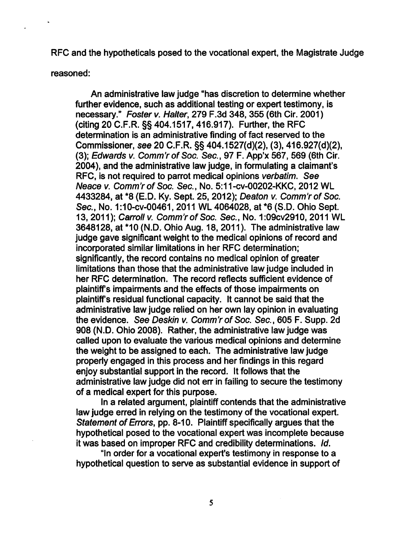*RFC and the hypotheticals posed to the vocational expert, the Magistrate Judge*

*reasoned:*

*An administrative law judge "has discretion to determine whether further evidence, such as additional testing or expert testimony, is necessary." Foster v. Halter, 279 F.3d 348, 355 (6th Cir. 2001) (citing 20 C.F.R. §§ 404.1517,416.917). Further, the RFC determination is an administrative finding of fact reserved to the Commissioner, see 20 C.F.R. §§ 404.1527(d)(2), (3), 416.927(d)(2), (3); Edwards v. Comm'rofSoc Sec, 97 F. App'x 567, 569 (6th Cir. 2004), and the administrative law judge, in formulating a claimant's RFC, is not required to parrot medical opinions verbatim. See Neace v. Comm'rofSoc Sec, No. 5:11-cv-00202-KKC, 2012 WL 4433284, at \*8 (E.D. Ky. Sept. 25, 2012); Deaton v. Comm'rofSoc Sec, No. 1:10-cv-00461, 2011 WL 4064028, at\*6 (S.D. Ohio Sept. 13, 2011); Carroll v. Comm'rofSoc Sec, No. 1:09cv2910, 2011 WL 3648128, at \*10 (N.D. Ohio Aug. 18, 2011). The administrative law judge gave significant weight to the medical opinions of record and incorporated similar limitations in her RFC determination; significantly, the record contains no medical opinion of greater limitations than those that the administrative law judge included in her RFC determination. The record reflects sufficient evidence of plaintiffs impairments and the effects of those impairments on plaintiffs residual functional capacity. It cannot be said that the administrative law judge relied on her own lay opinion in evaluating the evidence. See Deskin v. Comm'rofSoc Sec, 605 F. Supp. 2d 908 (N.D. Ohio 2008). Rather, the administrative law judge was called upon to evaluate the various medical opinions and determine the weight to be assigned to each. The administrative law judge properly engaged in this process and her findings in this regard enjoy substantial support in the record. It follows that the administrative law judge did not err in failing to secure the testimony of a medical expert for this purpose.*

*In a related argument, plaintiff contends that the administrative law judge erred in relying on the testimony of the vocational expert. Statement of Errors, pp. 8-10. Plaintiff specifically argues that the hypothetical posed to the vocational expert was incomplete because it was based on improper RFC and credibility determinations. Id.*

*"In order for a vocational expert's testimony in response to a hypothetical question to serve as substantial evidence in support of*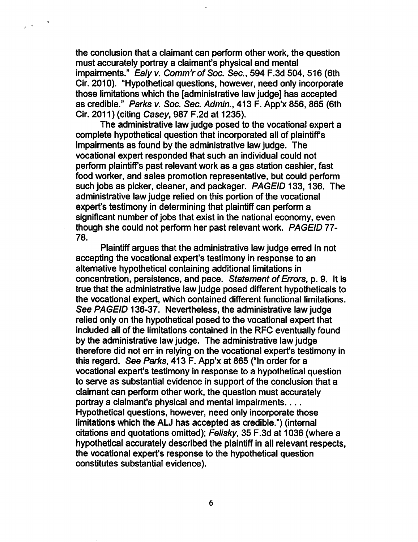*the conclusion that a claimant can perform other work, the question must accurately portray a claimant's physical and mental impairments." Ealy v. Comm'rofSoc Sec, 594 F.3d 504, 516 (6th Cir. 2010). "Hypothetical questions, however, need only incorporate those limitations which the [administrative law judge] has accepted as credible." Parks v. Soc Sec Admin., 413 F. App'x 856, 865 (6th Cir. 2011) (citing Casey, 987 F.2d at 1235).*

 $\hat{p}$  .  $\hat{p}$ 

*The administrative law judge posed to the vocational expert a complete hypothetical question that incorporated all of plaintiffs impairments as found by the administrative law judge. The vocational expert responded that such an individual could not perform plaintiffs past relevant work as a gas station cashier, fast food worker, and sales promotion representative, but could perform such jobs as picker, cleaner, and packager. PAGEID 133,136. The administrative law judge relied on this portion of the vocational expert's testimony in determining that plaintiff can perform a significant number of jobs that exist in the national economy, even though she could not perform her past relevant work. PAGEID 77- 78.*

*Plaintiffargues that the administrative law judge erred in not accepting the vocational expert's testimony in response to an alternative hypothetical containing additional limitations in concentration, persistence, and pace. Statement ofErrors, p. 9. It is true that the administrative law judge posed different hypotheticals to the vocational expert, which contained different functional limitations. See PAGEID 136-37. Nevertheless, the administrative law judge relied only on the hypothetical posed to the vocational expert that included all of the limitations contained in the RFC eventually found by the administrative law judge. The administrative law judge therefore did not err in relying on the vocational expert's testimony in this regard. See Parks, 413 F. App'x at 865 ("In order for a vocational expert's testimony in response to a hypothetical question to serve as substantial evidence in support of the conclusion that a claimant can perform other work, the question must accurately portray a claimant's physical and mental impairments Hypothetical questions, however, need only incorporate those limitations which the ALJ has accepted as credible.") (internal citations and quotations omitted); Felisky, 35 F.3d at 1036 (where a hypothetical accurately described the plaintiff in all relevant respects, the vocational expert's response to the hypothetical question constitutes substantial evidence).*